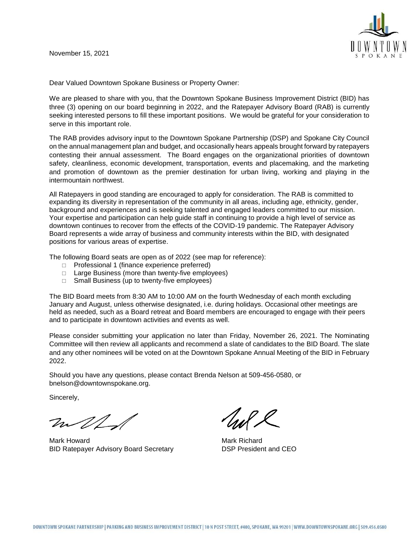

Dear Valued Downtown Spokane Business or Property Owner:

We are pleased to share with you, that the Downtown Spokane Business Improvement District (BID) has three (3) opening on our board beginning in 2022, and the Ratepayer Advisory Board (RAB) is currently seeking interested persons to fill these important positions. We would be grateful for your consideration to serve in this important role.

The RAB provides advisory input to the Downtown Spokane Partnership (DSP) and Spokane City Council on the annual management plan and budget, and occasionally hears appeals brought forward by ratepayers contesting their annual assessment. The Board engages on the organizational priorities of downtown safety, cleanliness, economic development, transportation, events and placemaking, and the marketing and promotion of downtown as the premier destination for urban living, working and playing in the intermountain northwest.

All Ratepayers in good standing are encouraged to apply for consideration. The RAB is committed to expanding its diversity in representation of the community in all areas, including age, ethnicity, gender, background and experiences and is seeking talented and engaged leaders committed to our mission. Your expertise and participation can help guide staff in continuing to provide a high level of service as downtown continues to recover from the effects of the COVID-19 pandemic. The Ratepayer Advisory Board represents a wide array of business and community interests within the BID, with designated positions for various areas of expertise.

The following Board seats are open as of 2022 (see map for reference):

- $\Box$  Professional 1 (finance experience preferred)
- $\Box$  Large Business (more than twenty-five employees)
- $\Box$  Small Business (up to twenty-five employees)

The BID Board meets from 8:30 AM to 10:00 AM on the fourth Wednesday of each month excluding January and August, unless otherwise designated, i.e. during holidays. Occasional other meetings are held as needed, such as a Board retreat and Board members are encouraged to engage with their peers and to participate in downtown activities and events as well.

Please consider submitting your application no later than Friday, November 26, 2021. The Nominating Committee will then review all applicants and recommend a slate of candidates to the BID Board. The slate and any other nominees will be voted on at the Downtown Spokane Annual Meeting of the BID in February 2022.

Should you have any questions, please contact Brenda Nelson at 509-456-0580, or bnelson@downtownspokane.org.

Sincerely,

m/L/

Mark Howard **Mark Richard** Mark Richard BID Ratepayer Advisory Board Secretary DSP President and CEO

ul L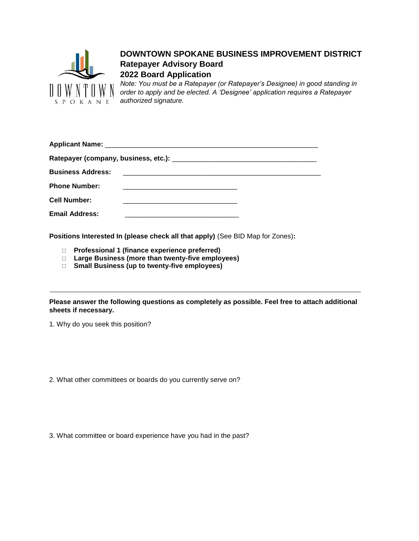

## **DOWNTOWN SPOKANE BUSINESS IMPROVEMENT DISTRICT Ratepayer Advisory Board 2022 Board Application**

*Note: You must be a Ratepayer (or Ratepayer's Designee) in good standing in order to apply and be elected. A 'Designee' application requires a Ratepayer authorized signature.*

| <b>Phone Number:</b>  |  |
|-----------------------|--|
| <b>Cell Number:</b>   |  |
| <b>Email Address:</b> |  |

**Positions Interested In (please check all that apply)** (See BID Map for Zones)**:**

- **Professional 1 (finance experience preferred)**
- **Large Business (more than twenty-five employees)**
- **Small Business (up to twenty-five employees)**

**Please answer the following questions as completely as possible. Feel free to attach additional sheets if necessary.**

1. Why do you seek this position?

2. What other committees or boards do you currently serve on?

3. What committee or board experience have you had in the past?